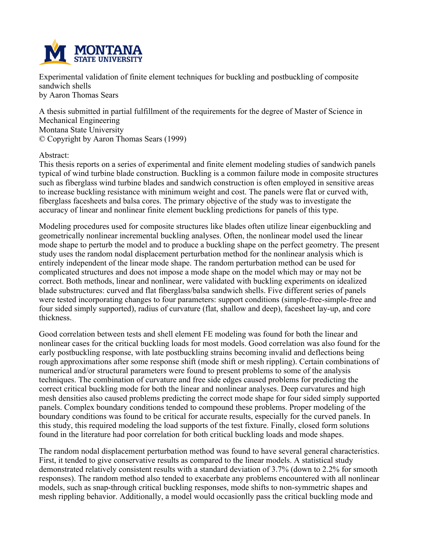

**Experimental validation of finite element techniques for buckling and postbuckling of composite sandwich shells by Aaron Thomas Sears**

**A thesis submitted in partial fulfillment of the requirements for the degree of Master of Science in Mechanical Engineering Montana State University © Copyright by Aaron Thomas Sears (1999)**

#### **Abstract:**

**This thesis reports on a series of experimental and finite element modeling studies of sandwich panels typical of wind turbine blade construction. Buckling is a common failure mode in composite structures such as fiberglass wind turbine blades and sandwich construction is often employed in sensitive areas to increase buckling resistance with minimum weight and cost. The panels were flat or curved with, fiberglass facesheets and balsa cores. The primary objective of the study was to investigate the accuracy of linear and nonlinear finite element buckling predictions for panels of this type.**

**Modeling procedures used for composite structures like blades often utilize linear eigenbuckling and geometrically nonlinear incremental buckling analyses. Often, the nonlinear model used the linear** mode shape to perturb the model and to produce a buckling shape on the perfect geometry. The present **study uses the random nodal displacement perturbation method for the nonlinear analysis which is entirely independent of the linear mode shape. The random perturbation method can be used for complicated structures and does not impose a mode shape on the model which may or may not be correct. Both methods, linear and nonlinear, were validated with buckling experiments on idealized blade substructures: curved and flat fiberglass/balsa sandwich shells. Five different series of panels were tested incorporating changes to four parameters: support conditions (simple-free-simple-free and four sided simply supported), radius of curvature (flat, shallow and deep), facesheet lay-up, and core thickness.**

**Good correlation between tests and shell element FE modeling was found for both the linear and nonlinear cases for the critical buckling loads for most models. Good correlation was also found for the early postbuckling response, with late postbuckling strains becoming invalid and deflections being rough approximations after some response shift (mode shift or mesh rippling). Certain combinations of numerical and/or structural parameters were found to present problems to some of the analysis techniques. The combination of curvature and free side edges caused problems for predicting the correct critical buckling mode for both the linear and nonlinear analyses. Deep curvatures and high mesh densities also caused problems predicting the correct mode shape for four sided simply supported panels. Complex boundary conditions tended to compound these problems. Proper modeling of the boundary conditions was found to be critical for accurate results, especially for the curved panels. In this study, this required modeling the load supports of the test fixture. Finally, closed form solutions found in the literature had poor correlation for both critical buckling loads and mode shapes.**

**The random nodal displacement perturbation method was found to have several general characteristics. First, it tended to give conservative results as compared to the linear models. A statistical study demonstrated relatively consistent results with a standard deviation of 3.7% (down to 2.2% for smooth responses). The random method also tended to exacerbate any problems encountered with all nonlinear models, such as snap-through critical buckling responses, mode shifts to non-symmetric shapes and mesh rippling behavior. Additionally, a model would occasionlly pass the critical buckling mode and**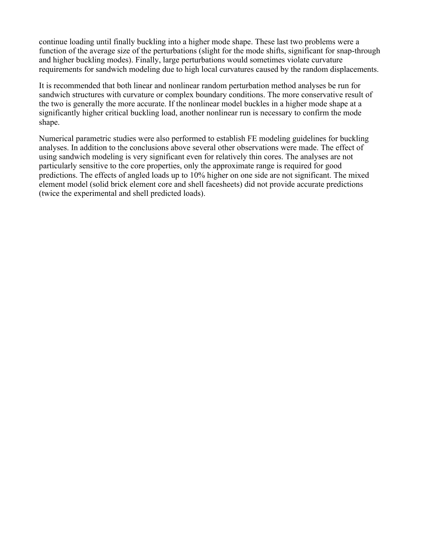**continue loading until finally buckling into a higher mode shape. These last two problems were a function of the average size of the perturbations (slight for the mode shifts, significant for snap-through and higher buckling modes). Finally, large perturbations would sometimes violate curvature requirements for sandwich modeling due to high local curvatures caused by the random displacements.**

**It is recommended that both linear and nonlinear random perturbation method analyses be run for sandwich structures with curvature or complex boundary conditions. The more conservative result of** the two is generally the more accurate. If the nonlinear model buckles in a higher mode shape at a **significantly higher critical buckling load, another nonlinear run is necessary to confirm the mode shape.**

**Numerical parametric studies were also performed to establish FE modeling guidelines for buckling analyses. In addition to the conclusions above several other observations were made. The effect of using sandwich modeling is very significant even for relatively thin cores. The analyses are not particularly sensitive to the core properties, only the approximate range is required for good** predictions. The effects of angled loads up to 10% higher on one side are not significant. The mixed **element model (solid brick element core and shell facesheets) did not provide accurate predictions (twice the experimental and shell predicted loads).**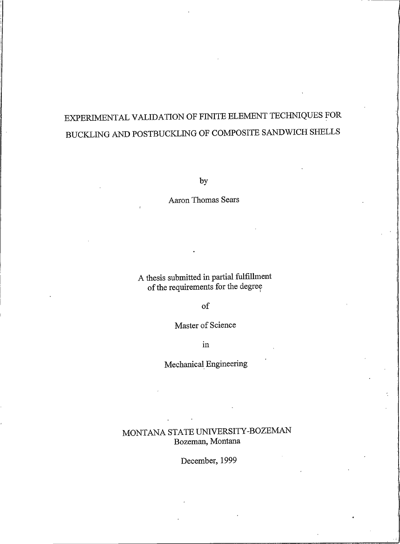# EXPERIMENTAL VALIDATION OF FINITE ELEMENT TECHNIQUES FOR BUCKLING AND POSTBUCKLING OF COMPOSITE SANDWICH SHELLS

by

Aaron Thomas Sears

A thesis submitted in partial fulfillment of the requirements for the degree

 $\sigma$ f

Master of Science

in

Mechanical Engineering

MONTANA STATE UNIVERSITY-BOZEMAN Bozeman, Montana

December, 1999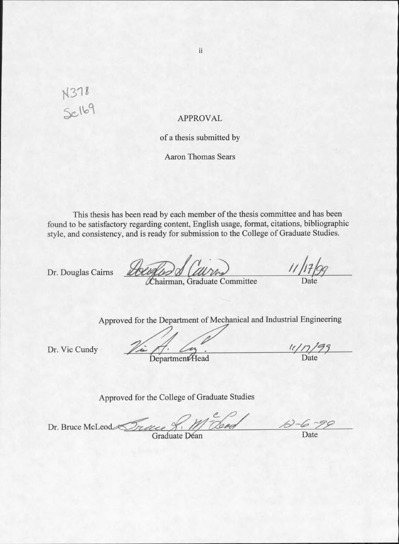# N 378<br>Selb9

## **APPROVAL**

### of a thesis submitted by

**Aaron Thomas Sears** 

This thesis has been read by each member of the thesis committee and has been found to be satisfactory regarding content, English usage, format, citations, bibliographic style, and consistency, and is ready for submission to the College of Graduate Studies.

Dr. Douglas Cairns

How

Chairman, Graduate Committee

Approved for the Department of Mechanical and Industrial Engineering

Dr. Vic Cundy

**Department**Head

 $\frac{(1/7)^{9}}{2}$ 

Approved for the College of Graduate Studies

Dr. Bruce McLeod Trace

Graduate Déan

Date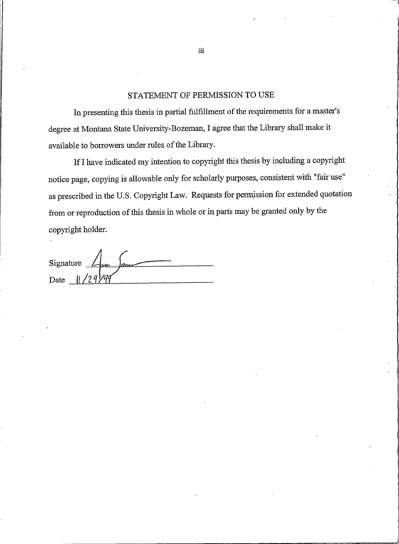#### STATEMENT OF PERMISSION TO USE

In presenting this thesis in partial fulfillment of the requirements for a master's degree at Montana State University-Bozeman, I agree that the Library shall make it available to borrowers under rules of the Library.

If I have indicated my intention to copyright this thesis by including a copyright notice page, copying is allowable only for scholarly purposes, consistent with "fair use" as prescribed in the U.S. Copyright Law. Requests for permission for extended quotation from or reproduction of this thesis in whole or in parts may be granted only by the copyright holder.

 $\int_{\mathcal{C}^2}$ Signature Date

iii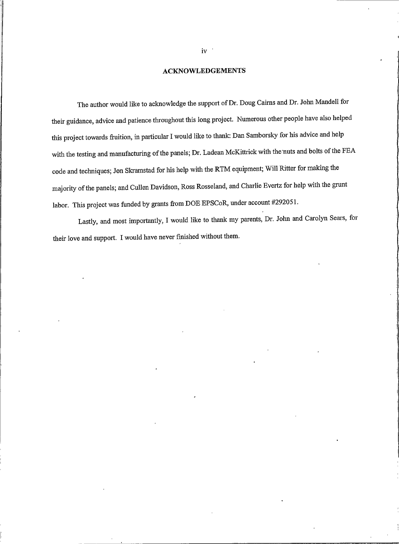#### **ACKNOWLEDGEMENTS**

The author would like to acknowledge the support of Dr. Doug Cairns and Dr. John Mandell for their guidance, advice and patience throughout this long project. Numerous other people have also helped this project towards fruition, in particular I would like to thank: Dan Samborsky for his advice and help with the testing and manufacturing of the panels; Dr. Ladean McKittrick with the nuts and bolts of the FEA code and techniques; Jon Skramstad for his help with the RTM equipment; Will Ritter for making the majority of the panels; and Cullen Davidson, Ross Rosseland, and Charlie Evertz for help with the grunt labor. This project was funded by grants from DOE EPSCoR, under account #292051.

Lastly, and most importantly, I would like to thank my parents, Dr. John and Carolyn Sears, for their love and support. I would have never finished without them.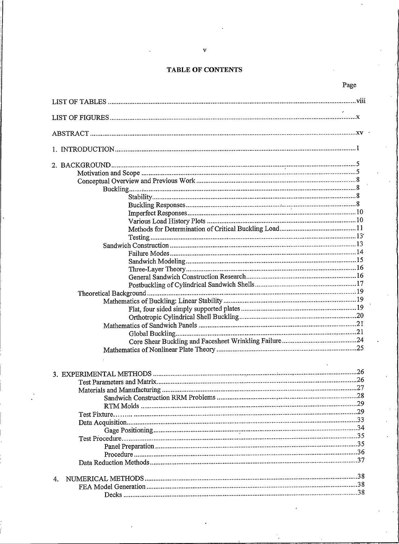## TABLE OF CONTENTS

Page

| $\overline{4}$ |  |
|----------------|--|
|                |  |
|                |  |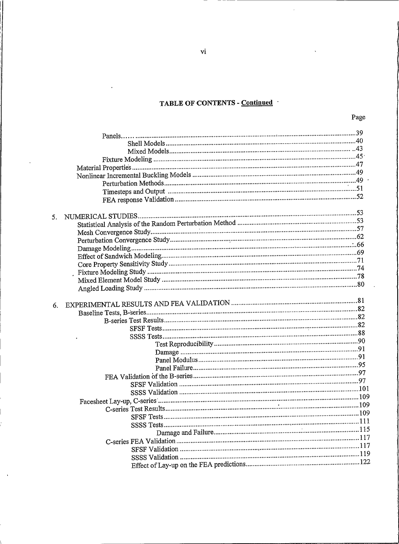# TABLE OF CONTENTS - Continued

 $\bar{z}$ 

| 5. |  |
|----|--|
|    |  |
|    |  |
|    |  |
|    |  |
|    |  |
|    |  |
|    |  |
|    |  |
|    |  |
|    |  |
| 6. |  |
|    |  |
|    |  |
|    |  |
|    |  |
|    |  |
|    |  |
|    |  |
|    |  |
|    |  |
|    |  |
|    |  |
|    |  |
|    |  |
|    |  |
|    |  |
|    |  |
|    |  |
|    |  |
|    |  |
|    |  |
|    |  |

vi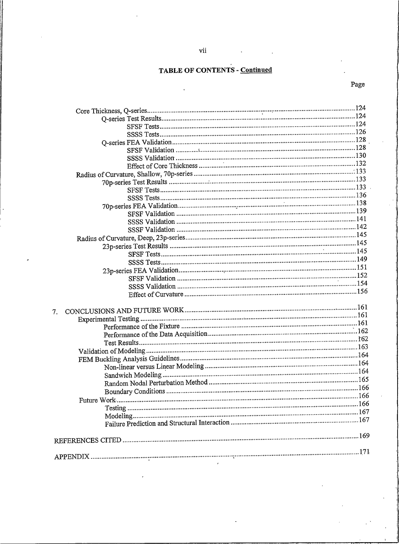# **TABLE OF CONTENTS - Continued**

# Page

| 7. |  |
|----|--|
|    |  |
|    |  |
|    |  |
|    |  |
|    |  |
|    |  |
|    |  |
|    |  |
|    |  |
|    |  |
|    |  |
|    |  |
|    |  |
|    |  |
|    |  |
|    |  |
|    |  |
|    |  |
|    |  |

 $\overline{7}$ .

ï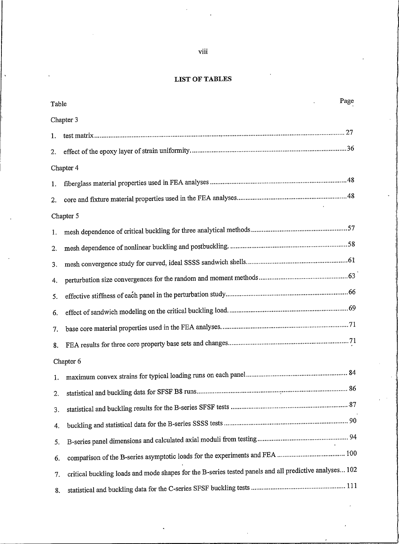#### **LIST OF TABLES**

| Table | Page                                                                                                   |
|-------|--------------------------------------------------------------------------------------------------------|
|       | Chapter 3                                                                                              |
| 1.    |                                                                                                        |
| 2.    |                                                                                                        |
|       | Chapter 4                                                                                              |
| 1.    |                                                                                                        |
| 2.    |                                                                                                        |
|       | Chapter 5                                                                                              |
| 1.    |                                                                                                        |
| 2.    |                                                                                                        |
| 3.    |                                                                                                        |
| 4.    |                                                                                                        |
| 5.    |                                                                                                        |
| 6.    |                                                                                                        |
| 7.    |                                                                                                        |
| 8.    |                                                                                                        |
|       | Chapter 6                                                                                              |
| 1.    |                                                                                                        |
| 2.    |                                                                                                        |
| 3.    |                                                                                                        |
| 4.    |                                                                                                        |
| 5.    |                                                                                                        |
| 6.    |                                                                                                        |
| 7.    | critical buckling loads and mode shapes for the B-series tested panels and all predictive analyses 102 |
| 8.    |                                                                                                        |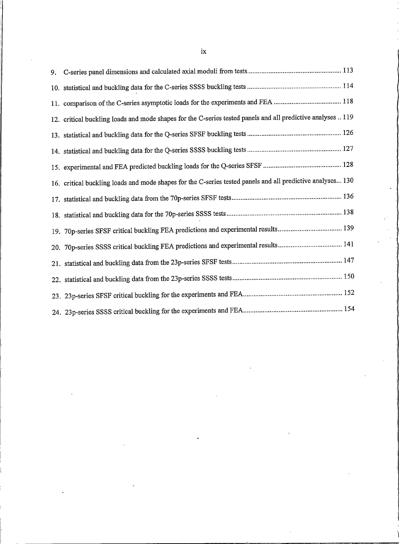| 12. critical buckling loads and mode shapes for the C-series tested panels and all predictive analyses  119 |
|-------------------------------------------------------------------------------------------------------------|
|                                                                                                             |
|                                                                                                             |
|                                                                                                             |
| 16. critical buckling loads and mode shapes for the C-series tested panels and all predictive analyses 130  |
|                                                                                                             |
|                                                                                                             |
|                                                                                                             |
|                                                                                                             |
|                                                                                                             |
|                                                                                                             |
|                                                                                                             |
|                                                                                                             |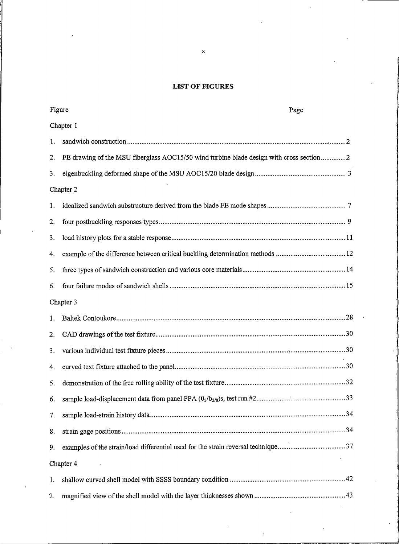### **LIST OF FIGURES**

| Figure | Page                                                                                    |  |
|--------|-----------------------------------------------------------------------------------------|--|
|        | Chapter 1                                                                               |  |
| 1.     |                                                                                         |  |
| 2.     | FE drawing of the MSU fiberglass AOC15/50 wind turbine blade design with cross section2 |  |
| 3.     |                                                                                         |  |
|        | Chapter 2                                                                               |  |
| 1.     |                                                                                         |  |
| 2.     |                                                                                         |  |
| 3.     |                                                                                         |  |
| 4.     | example of the difference between critical buckling determination methods  12           |  |
| 5.     |                                                                                         |  |
| 6.     |                                                                                         |  |
|        | Chapter 3                                                                               |  |
| 1.     |                                                                                         |  |
| 2.     |                                                                                         |  |
| 3.     |                                                                                         |  |
| 4.     |                                                                                         |  |
| 5.     |                                                                                         |  |
| 6.     |                                                                                         |  |
| 7.     |                                                                                         |  |
| 8.     |                                                                                         |  |
| 9.     | examples of the strain/load differential used for the strain reversal technique37       |  |
|        | Chapter 4                                                                               |  |
| 1.     |                                                                                         |  |
| 2.     |                                                                                         |  |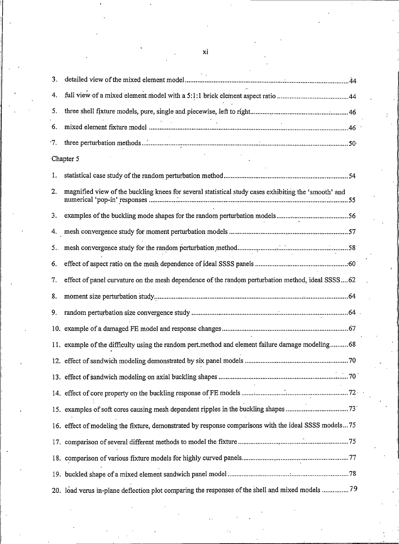| 3.  |                                                                                                       |
|-----|-------------------------------------------------------------------------------------------------------|
| 4.  |                                                                                                       |
| 5.  |                                                                                                       |
| 6.  |                                                                                                       |
| ٠7. |                                                                                                       |
|     | Chapter 5                                                                                             |
| 1.  |                                                                                                       |
| 2.  | magnified view of the buckling knees for several statistical study cases exhibiting the 'smooth' and  |
| 3.  |                                                                                                       |
| 4.  |                                                                                                       |
| 5.  |                                                                                                       |
| 6.  |                                                                                                       |
| 7.  | effect of panel curvature on the mesh dependence of the random perturbation method, ideal SSSS62      |
| 8.  |                                                                                                       |
| 9.  |                                                                                                       |
|     |                                                                                                       |
|     | 11. example of the difficulty using the random pert.method and element failure damage modeling 68     |
|     |                                                                                                       |
|     |                                                                                                       |
|     |                                                                                                       |
|     | 15. examples of soft cores causing mesh dependent ripples in the buckling shapes 73                   |
|     | 16. effect of modeling the fixture, demonstrated by response comparisons with the ideal SSSS models75 |
|     |                                                                                                       |
|     |                                                                                                       |
|     |                                                                                                       |
|     | 20. load verus in-plane deflection plot comparing the responses of the shell and mixed models 79      |

xi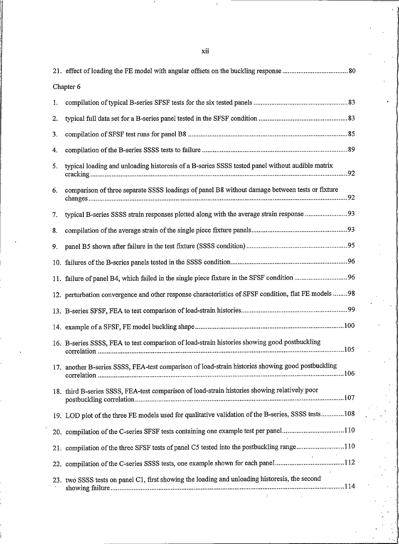|    | Chapter 6                                                                                             |  |  |  |
|----|-------------------------------------------------------------------------------------------------------|--|--|--|
| ı. |                                                                                                       |  |  |  |
| 2. |                                                                                                       |  |  |  |
| 3. |                                                                                                       |  |  |  |
| 4. |                                                                                                       |  |  |  |
| 5. | typical loading and unloading historesis of a B-series SSSS tested panel without audible matrix       |  |  |  |
| 6. | comparison of three separate SSSS loadings of panel B8 without damage between tests or fixture        |  |  |  |
| 7. | typical B-series SSSS strain responses plotted along with the average strain response 93              |  |  |  |
| 8. |                                                                                                       |  |  |  |
| 9. |                                                                                                       |  |  |  |
|    |                                                                                                       |  |  |  |
|    |                                                                                                       |  |  |  |
|    | 12. perturbation convergence and other response characteristics of SFSF condition, flat FE models  98 |  |  |  |
|    |                                                                                                       |  |  |  |
|    |                                                                                                       |  |  |  |
|    | 16. B-series SSSS, FEA to test comparison of load-strain histories showing good postbuckling          |  |  |  |
|    | 17. another B-series SSSS, FEA-test comparison of load-strain histories showing good postbuckling     |  |  |  |
|    | 18. third B-series SSSS, FEA-test comparison of load-strain histories showing relatively poor         |  |  |  |
|    | 19. LOD plot of the three FE models used for qualitative validation of the B-series, SSSS tests108    |  |  |  |
|    | 20. compilation of the C-series SFSF tests containing one example test per panel110                   |  |  |  |
|    | 21. compilation of the three SFSF tests of panel C5 tested into the postbuckling range110             |  |  |  |
|    | 22. compilation of the C-series SSSS tests, one example shown for each panel112                       |  |  |  |
|    | 23. two SSSS tests on panel C1, first showing the loading and unloading historesis, the second        |  |  |  |

xii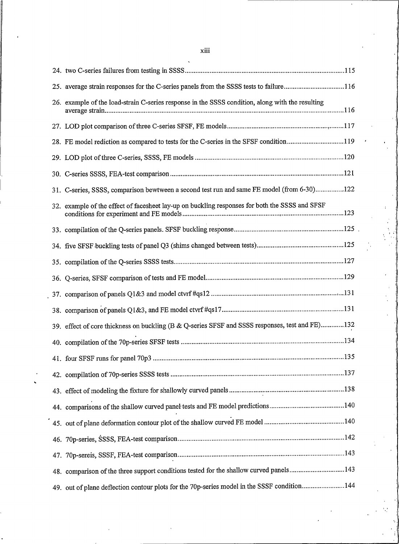| 25. average strain responses for the C-series panels from the SSSS tests to failure116           |
|--------------------------------------------------------------------------------------------------|
| 26. example of the load-strain C-series response in the SSSS condition, along with the resulting |
|                                                                                                  |
| 28. FE model rediction as compared to tests for the C-series in the SFSF condition119            |
|                                                                                                  |
|                                                                                                  |
| 31. C-series, SSSS, comparison bewtween a second test run and same FE model (from 6-30)122       |
| 32. example of the effect of facesheet lay-up on buckling responses for both the SSSS and SFSF   |
|                                                                                                  |
|                                                                                                  |
|                                                                                                  |
|                                                                                                  |
|                                                                                                  |
|                                                                                                  |
| 39. effect of core thickness on buckling (B & Q-series SFSF and SSSS responses, test and FE)132  |
|                                                                                                  |
|                                                                                                  |
|                                                                                                  |
|                                                                                                  |
|                                                                                                  |
|                                                                                                  |
|                                                                                                  |
|                                                                                                  |
| 48. comparison of the three support conditions tested for the shallow curved panels143           |
| 49. out of plane deflection contour plots for the 70p-series model in the SSSF condition144      |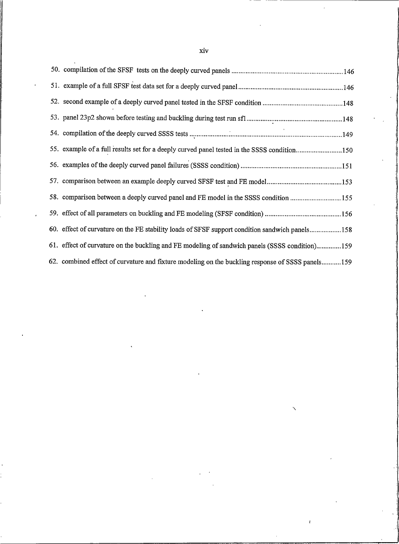| 55. example of a full results set for a deeply curved panel tested in the SSSS condition150      |  |
|--------------------------------------------------------------------------------------------------|--|
|                                                                                                  |  |
|                                                                                                  |  |
| 58. comparison between a deeply curved panel and FE model in the SSSS condition 155              |  |
|                                                                                                  |  |
| 60. effect of curvature on the FE stability loads of SFSF support condition sandwich panels158   |  |
| 61. effect of curvature on the buckling and FE modeling of sandwich panels (SSSS condition)159   |  |
| 62. combined effect of curvature and fixture modeling on the buckling response of SSSS panels159 |  |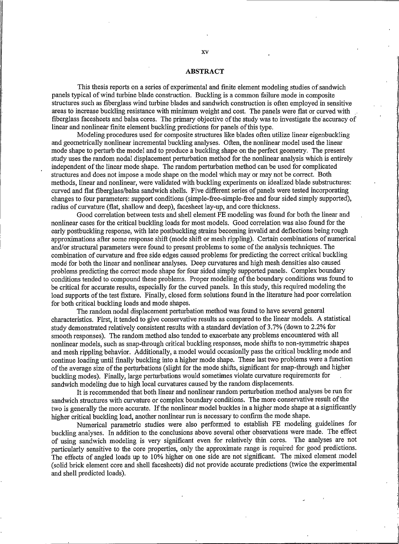#### **ABSTRACT**

This thesis reports on a series of experimental and finite element modeling studies of sandwich panels typical of wind turbine blade construction. Buckling is a common failure mode in composite structures such as fiberglass wind turbine blades and sandwich construction is often employed in sensitive areas to increase buckling resistance with minimum weight and cost. The panels were flat or curved with fiberglass facesheets and balsa cores. The primary objective of the study was to investigate the accuracy of linear and nonlinear finite element buckling predictions for panels of this type.

Modeling procedures used for composite structures like blades often utilize linear eigenbuckling and geometrically nonlinear incremental buckling analyses. Often, the nonlinear model used the linear mode shape to perturb the model and to produce a buckling shape on the perfect geometry. The present study uses the random nodal displacement perturbation method for the nonlinear analysis which is entirely independent of the linear mode shape. The random perturbation method can be used for complicated structures and does not impose a mode shape on the model which may or may not be correct. Both methods, linear and nonlinear, were validated with buckling experiments on idealized blade substructures: curved and flat fiberglass/balsa sandwich shells. Five different series of panels were tested incorporating changes to four parameters: support conditions (simple-free-simple-free and four sided simply supported), radius of curvature (flat, shallow and deep), facesheet lay-up, and core thickness.

Good correlation between tests and shell element FE modeling was found for both the linear and nonlinear cases for the critical buckling loads for most models. Good correlation was also found for the early postbuckling response, with late postbuckling strains becoming invalid and deflections being rough approximations after some response shift (mode shift or mesh rippling). Certain combinations of numerical and/or structural parameters were found to present problems to some of the analysis techniques. The combination of curvature and free side edges caused problems for predicting the correct critical buckling mode for both the linear and nonlinear analyses. Deep curvatures and high mesh densities also caused problems predicting the correct mode shape for four sided simply supported panels. Complex boundary conditions tended to compound these problems. Proper modeling of the boundary conditions was found to be critical for accurate results, especially for the curved panels. In this study, this required modeling the load supports of the test fixture. Finally, closed form solutions found in the literature had poor correlation for both critical buckling loads and mode shapes.

The random nodal displacement perturbation method was found to have several general characteristics. First, it tended to give conservative results as compared to the linear models. A statistical study demonstrated relatively consistent results with a standard deviation of 3.7% (down to 2.2% for smooth responses). The random method also tended to exacerbate any problems encountered with all nonlinear models, such as snap-through critical buckling responses, mode shifts to non-symmetric shapes and mesh rippling behavior. Additionally, a model would occasionlly pass the critical buckling mode and continue loading until finally buckling into a higher mode shape. These last two problems were a function of the average size of the perturbations (slight for the mode shifts, significant for snap-through and higher buckling modes). Finally, large perturbations would sometimes violate curvature requirements for sandwich modeling due to high local curvatures caused by the random displacements.

It is recommended that both linear and nonlinear random perturbation method analyses be run for sandwich structures with curvature or complex boundary conditions. The more conservative result of the two is generally the more accurate. If the nonlinear model buckles in a higher mode shape at a significantly higher critical buckling load, another nonlinear run is necessary to confirm the mode shape.

Numerical parametric studies were also performed to establish FE modeling guidelines for buckling analyses. In addition to the conclusions above several other observations were made. The effect of using sandwich modeling is very significant even for relatively thin cores. The analyses are not particularly sensitive to the core properties, only the approximate range is required for good predictions. The effects of angled loads up to 10% higher on one side are not significant. The mixed element model (solid brick element core and shell facesheets) did not provide accurate predictions (twice the experimental and shell predicted loads).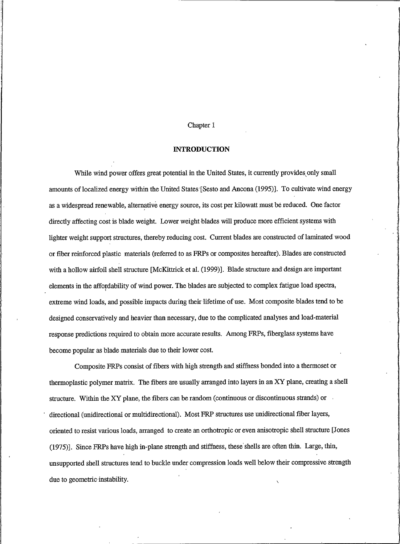#### Chapter 1

#### **INTRODUCTION**

<span id="page-17-0"></span>While wind power offers great potential in the United States, it currently provides only small amounts of localized energy within the United States [Sesto and Ancona (1995)]. To cultivate wind energy as a widespread renewable, alternative energy source, its cost per kilowatt must be reduced. One factor directly affecting cost is blade weight. Lower weight blades will produce more efficient systems with lighter weight support structures, thereby reducing cost. Current blades are constructed of laminated wood or fiber reinforced plastic materials (referred to as FRPs or composites hereafter). Blades are constructed with a hollow airfoil shell structure [McKittrick et al. (1999)]. Blade structure and design are important elements in the affordability of wind power. The blades are subjected to complex fatigue load spectra, extreme wind loads, and possible impacts during their lifetime of use. Most composite blades tend to be designed conservatively and heavier than necessary, due to the complicated analyses and load-material response predictions required to obtain more accurate results. Among FRPs, fiberglass systems have become popular as blade materials due to their lower cost.

Composite FRPs consist of fibers with high strength and stiffness bonded into a thermoset or thermoplastic polymer matrix. The fibers are usually arranged into layers in an XY plane, creating a shell structure. Within the XY plane, the fibers can be random (continuous or discontinuous strands) or directional (unidirectional or multidirectional). Most FRP structures use unidirectional fiber layers, oriented to resist various loads, arranged to create an orthotropic or even anisotropic shell structure [Jones (1975)]. Since FRPs have high in-plane strength and stiffness, these shells are often thin. Large, thin, unsupported shell structures tend to buckle under compression loads well below their compressive strength due to geometric instability.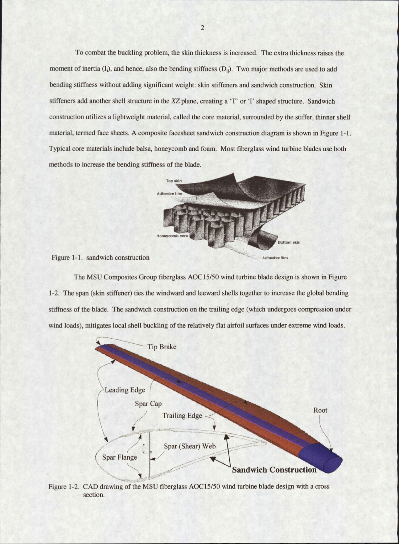To combat the buckling problem, the skin thickness is increased. The extra thickness raises the moment of inertia (I<sub>i</sub>), and hence, also the bending stiffness (D<sub>ii</sub>). Two major methods are used to add bending stiffness without adding significant weight: skin stiffeners and sandwich construction. Skin stiffeners add another shell structure in the XZ plane, creating a 'T' or 'I' shaped structure. Sandwich construction utilizes a lightweight material, called the core material, surrounded by the stiffer, thinner shell material, termed face sheets. A composite facesheet sandwich construction diagram is shown in Figure 1-1. Typical core materials include balsa, honeycomb and foam. Most fiberglass wind turbine blades use both methods to increase the bending stiffness of the blade.



Figure 1-1. sandwich construction

The MSU Composites Group fiberglass AOC15/50 wind turbine blade design is shown in Figure 1-2. The span (skin stiffener) ties the windward and leeward shells together to increase the global bending stiffness of the blade. The sandwich construction on the trailing edge (which undergoes compression under wind loads), mitigates local shell buckling of the relatively flat airfoil surfaces under extreme wind loads.



Figure 1-2. CAD drawing of the MSU fiberglass AOC15/50 wind turbine blade design with a cross section.